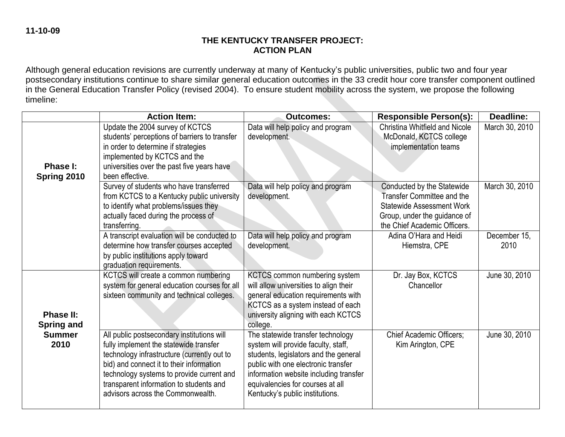## **THE KENTUCKY TRANSFER PROJECT: ACTION PLAN**

Although general education revisions are currently underway at many of Kentucky's public universities, public two and four year postsecondary institutions continue to share similar general education outcomes in the 33 credit hour core transfer component outlined in the General Education Transfer Policy (revised 2004). To ensure student mobility across the system, we propose the following timeline:

|                                | <b>Action Item:</b>                                                                                                                                                                                                                                                                                          | <b>Outcomes:</b>                                                                                                                                                                                                                                                          | <b>Responsible Person(s):</b>                                                                                                                                | <b>Deadline:</b>     |
|--------------------------------|--------------------------------------------------------------------------------------------------------------------------------------------------------------------------------------------------------------------------------------------------------------------------------------------------------------|---------------------------------------------------------------------------------------------------------------------------------------------------------------------------------------------------------------------------------------------------------------------------|--------------------------------------------------------------------------------------------------------------------------------------------------------------|----------------------|
| Phase I:<br>Spring 2010        | Update the 2004 survey of KCTCS<br>students' perceptions of barriers to transfer<br>in order to determine if strategies<br>implemented by KCTCS and the<br>universities over the past five years have<br>been effective.                                                                                     | Data will help policy and program<br>development.                                                                                                                                                                                                                         | Christina Whitfield and Nicole<br>McDonald, KCTCS college<br>implementation teams                                                                            | March 30, 2010       |
|                                | Survey of students who have transferred<br>from KCTCS to a Kentucky public university<br>to identify what problems/issues they<br>actually faced during the process of<br>transferring.                                                                                                                      | Data will help policy and program<br>development.                                                                                                                                                                                                                         | Conducted by the Statewide<br>Transfer Committee and the<br><b>Statewide Assessment Work</b><br>Group, under the guidance of<br>the Chief Academic Officers. | March 30, 2010       |
|                                | A transcript evaluation will be conducted to<br>determine how transfer courses accepted<br>by public institutions apply toward<br>graduation requirements.                                                                                                                                                   | Data will help policy and program<br>development.                                                                                                                                                                                                                         | Adina O'Hara and Heidi<br>Hiemstra, CPE                                                                                                                      | December 15,<br>2010 |
| Phase II:<br><b>Spring and</b> | KCTCS will create a common numbering<br>system for general education courses for all<br>sixteen community and technical colleges.                                                                                                                                                                            | KCTCS common numbering system<br>will allow universities to align their<br>general education requirements with<br>KCTCS as a system instead of each<br>university aligning with each KCTCS<br>college.                                                                    | Dr. Jay Box, KCTCS<br>Chancellor                                                                                                                             | June 30, 2010        |
| <b>Summer</b><br>2010          | All public postsecondary institutions will<br>fully implement the statewide transfer<br>technology infrastructure (currently out to<br>bid) and connect it to their information<br>technology systems to provide current and<br>transparent information to students and<br>advisors across the Commonwealth. | The statewide transfer technology<br>system will provide faculty, staff,<br>students, legislators and the general<br>public with one electronic transfer<br>information website including transfer<br>equivalencies for courses at all<br>Kentucky's public institutions. | <b>Chief Academic Officers:</b><br>Kim Arington, CPE                                                                                                         | June 30, 2010        |